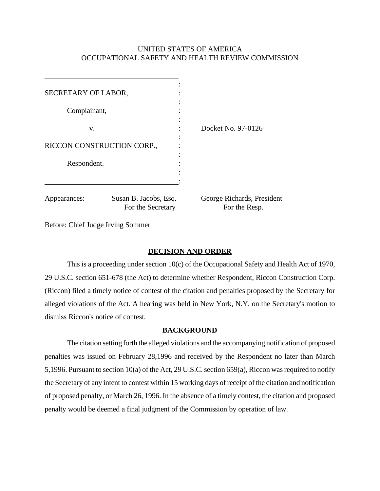## UNITED STATES OF AMERICA OCCUPATIONAL SAFETY AND HEALTH REVIEW COMMISSION

| SECRETARY OF LABOR,                                        |  |                                             |
|------------------------------------------------------------|--|---------------------------------------------|
| Complainant,                                               |  |                                             |
| V.                                                         |  | Docket No. 97-0126                          |
| RICCON CONSTRUCTION CORP.,                                 |  |                                             |
| Respondent.                                                |  |                                             |
| Susan B. Jacobs, Esq.<br>Appearances:<br>For the Secretary |  | George Richards, President<br>For the Resp. |

Before: Chief Judge Irving Sommer

### **DECISION AND ORDER**

This is a proceeding under section 10(c) of the Occupational Safety and Health Act of 1970, 29 U.S.C. section 651-678 (the Act) to determine whether Respondent, Riccon Construction Corp. (Riccon) filed a timely notice of contest of the citation and penalties proposed by the Secretary for alleged violations of the Act. A hearing was held in New York, N.Y. on the Secretary's motion to dismiss Riccon's notice of contest.

### **BACKGROUND**

The citation setting forth the alleged violations and the accompanying notification of proposed penalties was issued on February 28,1996 and received by the Respondent no later than March 5,1996. Pursuant to section 10(a) of the Act, 29 U.S.C. section 659(a), Riccon was required to notify the Secretary of any intent to contest within 15 working days of receipt of the citation and notification of proposed penalty, or March 26, 1996. In the absence of a timely contest, the citation and proposed penalty would be deemed a final judgment of the Commission by operation of law.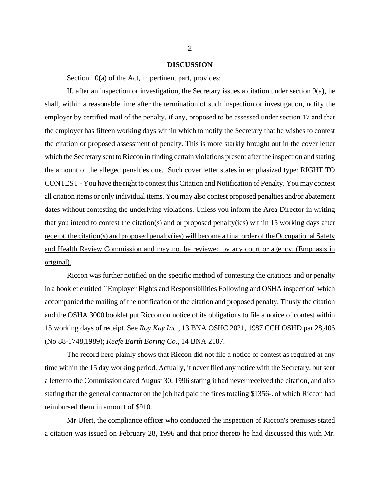#### **DISCUSSION**

Section 10(a) of the Act, in pertinent part, provides:

If, after an inspection or investigation, the Secretary issues a citation under section 9(a), he shall, within a reasonable time after the termination of such inspection or investigation, notify the employer by certified mail of the penalty, if any, proposed to be assessed under section 17 and that the employer has fifteen working days within which to notify the Secretary that he wishes to contest the citation or proposed assessment of penalty. This is more starkly brought out in the cover letter which the Secretary sent to Riccon in finding certain violations present after the inspection and stating the amount of the alleged penalties due. Such cover letter states in emphasized type: RIGHT TO CONTEST - You have the right to contest this Citation and Notification of Penalty. You may contest all citation items or only individual items. You may also contest proposed penalties and/or abatement dates without contesting the underlying violations. Unless you inform the Area Director in writing that you intend to contest the citation(s) and or proposed penalty(ies) within 15 working days after receipt, the citation(s) and proposed penalty(ies) will become a final order of the Occupational Safety and Health Review Commission and may not be reviewed by any court or agency. (Emphasis in original).

Riccon was further notified on the specific method of contesting the citations and or penalty in a booklet entitled ``Employer Rights and Responsibilities Following and OSHA inspection'' which accompanied the mailing of the notification of the citation and proposed penalty. Thusly the citation and the OSHA 3000 booklet put Riccon on notice of its obligations to file a notice of contest within 15 working days of receipt. See *Roy Kay Inc*., 13 BNA OSHC 2021, 1987 CCH OSHD par 28,406 (No 88-1748,1989); *Keefe Earth Boring Co.*, 14 BNA 2187.

The record here plainly shows that Riccon did not file a notice of contest as required at any time within the 15 day working period. Actually, it never filed any notice with the Secretary, but sent a letter to the Commission dated August 30, 1996 stating it had never received the citation, and also stating that the general contractor on the job had paid the fines totaling \$1356-. of which Riccon had reimbursed them in amount of \$910.

Mr Ufert, the compliance officer who conducted the inspection of Riccon's premises stated a citation was issued on February 28, 1996 and that prior thereto he had discussed this with Mr.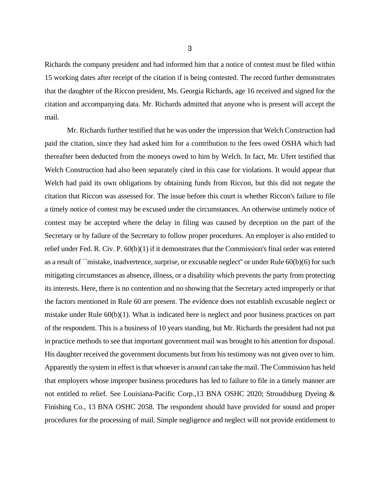Richards the company president and had informed him that a notice of contest must be filed within 15 working dates after receipt of the citation if is being contested. The record further demonstrates that the daughter of the Riccon president, Ms. Georgia Richards, age 16 received and signed for the citation and accompanying data. Mr. Richards admitted that anyone who is present will accept the mail.

Mr. Richards further testified that he was under the impression that Welch Construction had paid the citation, since they had asked him for a contribution to the fees owed OSHA which had thereafter been deducted from the moneys owed to him by Welch. In fact, Mr. Ufert testified that Welch Construction had also been separately cited in this case for violations. It would appear that Welch had paid its own obligations by obtaining funds from Riccon, but this did not negate the citation that Riccon was assessed for. The issue before this court is whether Riccon's failure to file a timely notice of contest may be excused under the circumstances. An otherwise untimely notice of contest may be accepted where the delay in filing was caused by deception on the part of the Secretary or by failure of the Secretary to follow proper procedures. An employer is also entitled to relief under Fed. R. Civ. P. 60(b)(1) if it demonstrates that the Commission's final order was entered as a result of ``mistake, inadvertence, surprise, or excusable neglect'' or under Rule 60(b)(6) for such mitigating circumstances as absence, illness, or a disability which prevents the party from protecting its interests. Here, there is no contention and no showing that the Secretary acted improperly or that the factors mentioned in Rule 60 are present. The evidence does not establish excusable neglect or mistake under Rule 60(b)(1). What is indicated here is neglect and poor business practices on part of the respondent. This is a business of 10 years standing, but Mr. Richards the president had not put in practice methods to see that important government mail was brought to his attention for disposal. His daughter received the government documents but from his testimony was not given over to him. Apparently the system in effect is that whoever is around can take the mail. The Commission has held that employers whose improper business procedures has led to failure to file in a timely manner are not entitled to relief. See Louisiana-Pacific Corp.,13 BNA OSHC 2020; Stroudsburg Dyeing & Finishing Co., 13 BNA OSHC 2058. The respondent should have provided for sound and proper procedures for the processing of mail. Simple negligence and neglect will not provide entitlement to